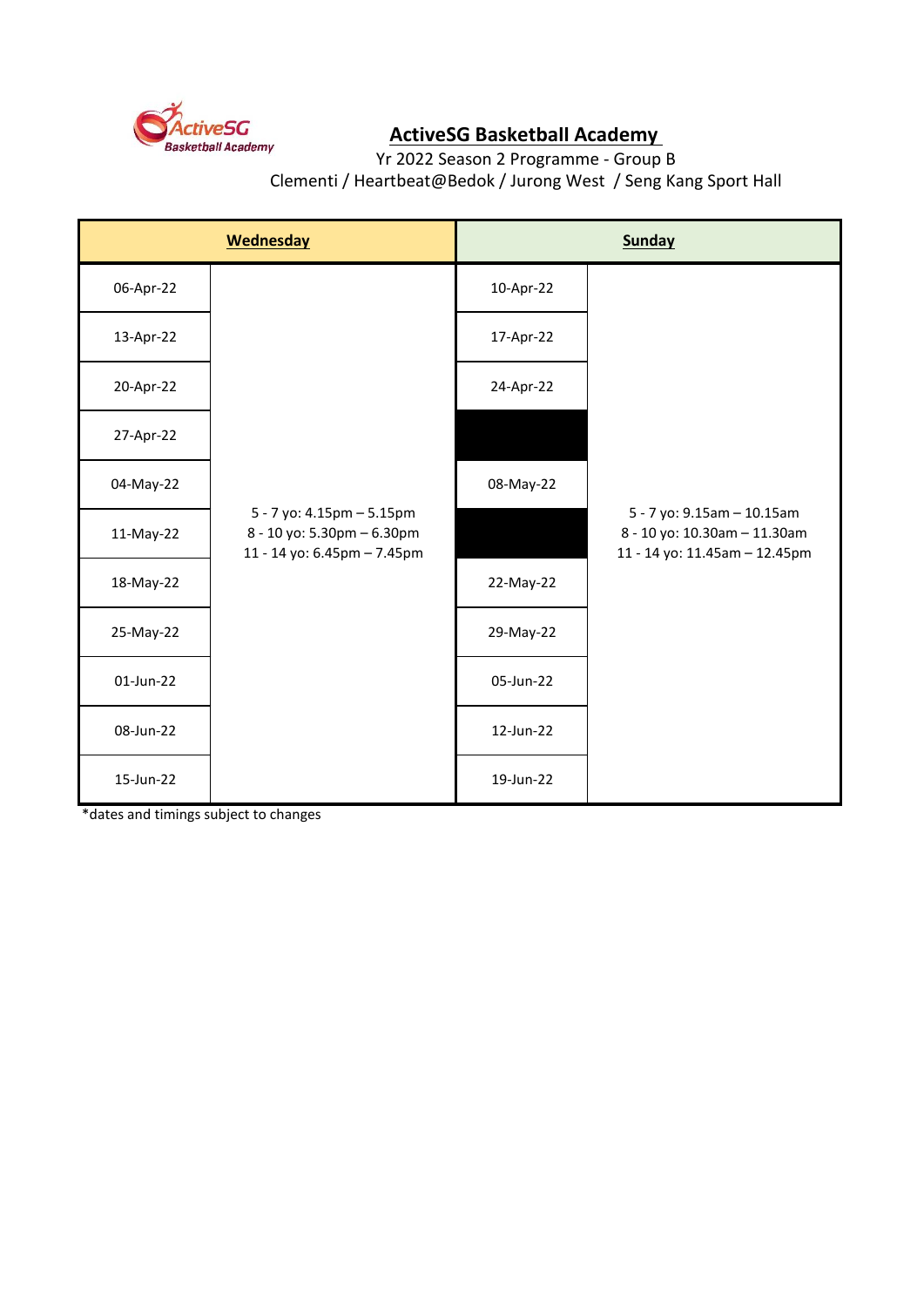

## **ActiveSG Basketball Academy**

Yr 2022 Season 2 Programme - Group B Clementi / Heartbeat@Bedok / Jurong West / Seng Kang Sport Hall

| <b>Wednesday</b> |                                                                                        | <b>Sunday</b> |                                                                                             |
|------------------|----------------------------------------------------------------------------------------|---------------|---------------------------------------------------------------------------------------------|
| 06-Apr-22        |                                                                                        | 10-Apr-22     |                                                                                             |
| 13-Apr-22        |                                                                                        | 17-Apr-22     |                                                                                             |
| 20-Apr-22        |                                                                                        | 24-Apr-22     |                                                                                             |
| 27-Apr-22        |                                                                                        |               |                                                                                             |
| 04-May-22        | 5 - 7 yo: 4.15pm - 5.15pm<br>8 - 10 yo: 5.30pm - 6.30pm<br>11 - 14 yo: 6.45pm - 7.45pm | 08-May-22     |                                                                                             |
| 11-May-22        |                                                                                        |               | 5 - 7 yo: 9.15am - 10.15am<br>8 - 10 yo: 10.30am - 11.30am<br>11 - 14 yo: 11.45am - 12.45pm |
| 18-May-22        |                                                                                        | 22-May-22     |                                                                                             |
| 25-May-22        |                                                                                        | 29-May-22     |                                                                                             |
| 01-Jun-22        |                                                                                        | 05-Jun-22     |                                                                                             |
| 08-Jun-22        |                                                                                        | 12-Jun-22     |                                                                                             |
| 15-Jun-22        |                                                                                        | 19-Jun-22     |                                                                                             |

\*dates and timings subject to changes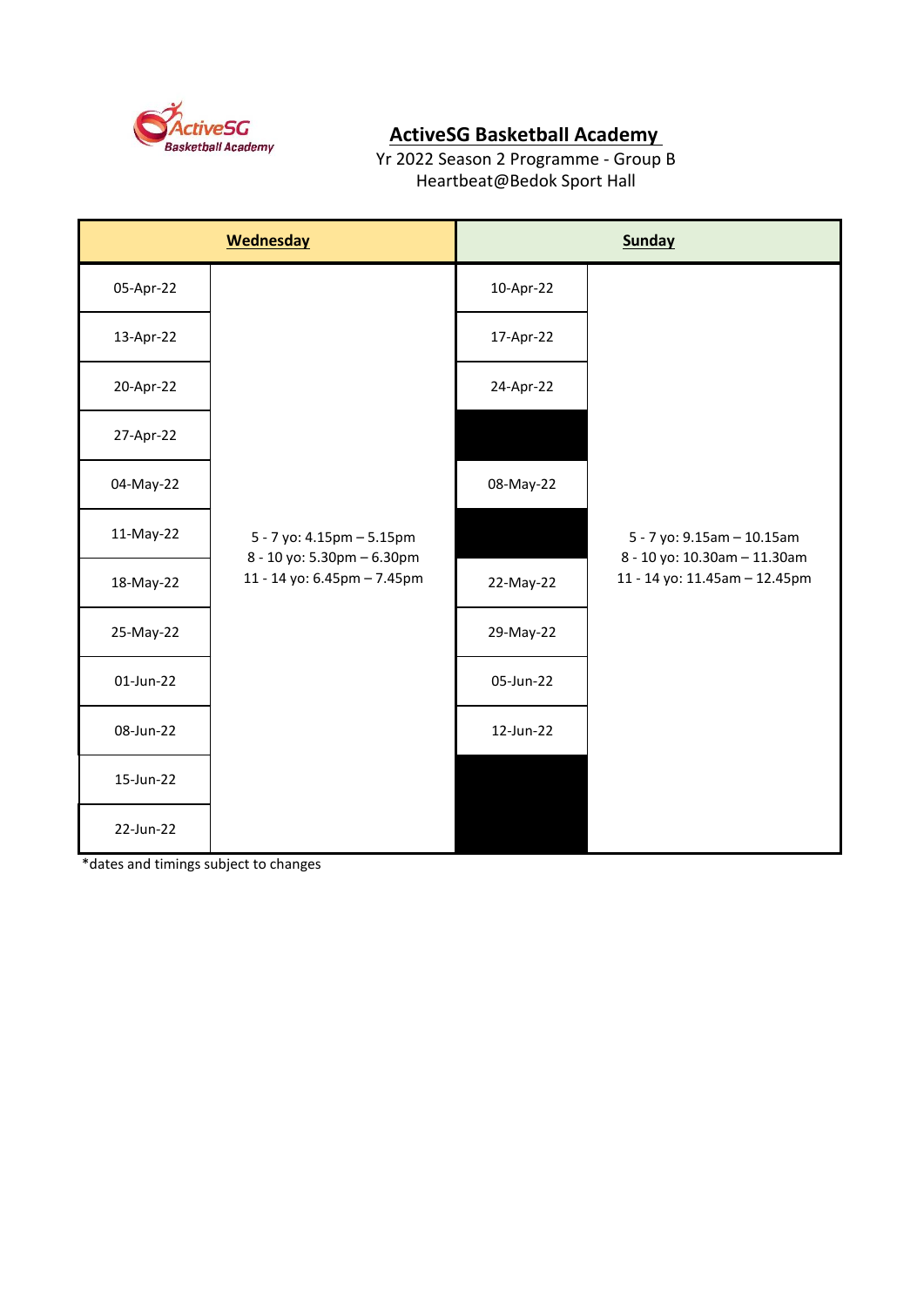

## **ActiveSG Basketball Academy**

Yr 2022 Season 2 Programme - Group B Heartbeat@Bedok Sport Hall

| <b>Wednesday</b> |                                                                                        | <b>Sunday</b> |                                                               |
|------------------|----------------------------------------------------------------------------------------|---------------|---------------------------------------------------------------|
| 05-Apr-22        |                                                                                        | 10-Apr-22     |                                                               |
| 13-Apr-22        |                                                                                        | 17-Apr-22     |                                                               |
| 20-Apr-22        | 5 - 7 yo: 4.15pm - 5.15pm<br>8 - 10 yo: 5.30pm - 6.30pm<br>11 - 14 yo: 6.45pm - 7.45pm | 24-Apr-22     |                                                               |
| 27-Apr-22        |                                                                                        |               |                                                               |
| 04-May-22        |                                                                                        | 08-May-22     |                                                               |
| 11-May-22        |                                                                                        |               | 5 - 7 yo: 9.15am - 10.15am                                    |
| 18-May-22        |                                                                                        | 22-May-22     | 8 - 10 yo: 10.30am - 11.30am<br>11 - 14 yo: 11.45am - 12.45pm |
| 25-May-22        |                                                                                        | 29-May-22     |                                                               |
| 01-Jun-22        |                                                                                        | 05-Jun-22     |                                                               |
| 08-Jun-22        |                                                                                        | 12-Jun-22     |                                                               |
| 15-Jun-22        |                                                                                        |               |                                                               |
| 22-Jun-22        |                                                                                        |               |                                                               |

\*dates and timings subject to changes